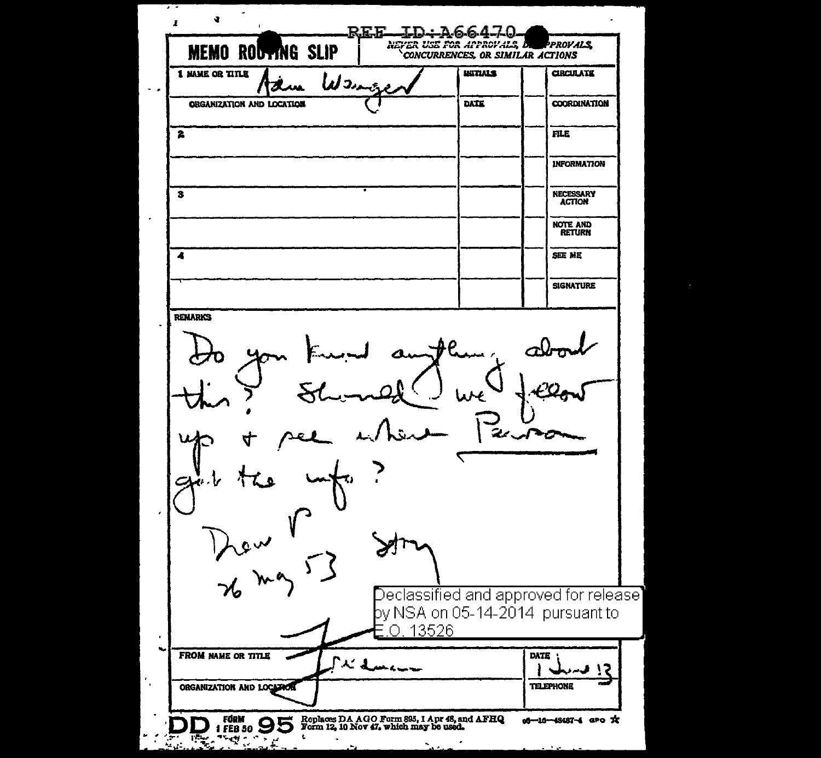| <b>MEMO ROUTING SLIP</b>               | 66470<br>NEVER USE FOR APPROVALE, D<br>CONCURRENCES, OR SIMILAR ACTIONS | PPROVALS.                                                                  |
|----------------------------------------|-------------------------------------------------------------------------|----------------------------------------------------------------------------|
| 1 NAME OR TITLE<br>Wang                | <b>WITIALS</b>                                                          | <b>CIRCULATE</b>                                                           |
| <b>ORGANIZATION AND LOCATION</b>       | DATE                                                                    | <b>COORDINATION</b>                                                        |
| 2                                      |                                                                         | <b>FILE</b>                                                                |
|                                        |                                                                         | <b>INFORMATION</b>                                                         |
| з                                      |                                                                         | <b>NECESSARY</b><br><b>ACTION</b>                                          |
|                                        |                                                                         | <b>NOTE AND</b><br><b>RETURN</b>                                           |
| 4                                      |                                                                         | SEE ME                                                                     |
|                                        |                                                                         | <b>SIGNATURE</b>                                                           |
|                                        |                                                                         |                                                                            |
| Kew 153<br>0.13526                     |                                                                         | )eclassified and approved for release]<br>by NSA on 05-14-2014 pursuant to |
| <b>FROM NAME OR TITLE</b><br>al Luccus |                                                                         | DATE<br>13                                                                 |
| ORGANIZATION AND LOCATION              |                                                                         | TELEPHONE                                                                  |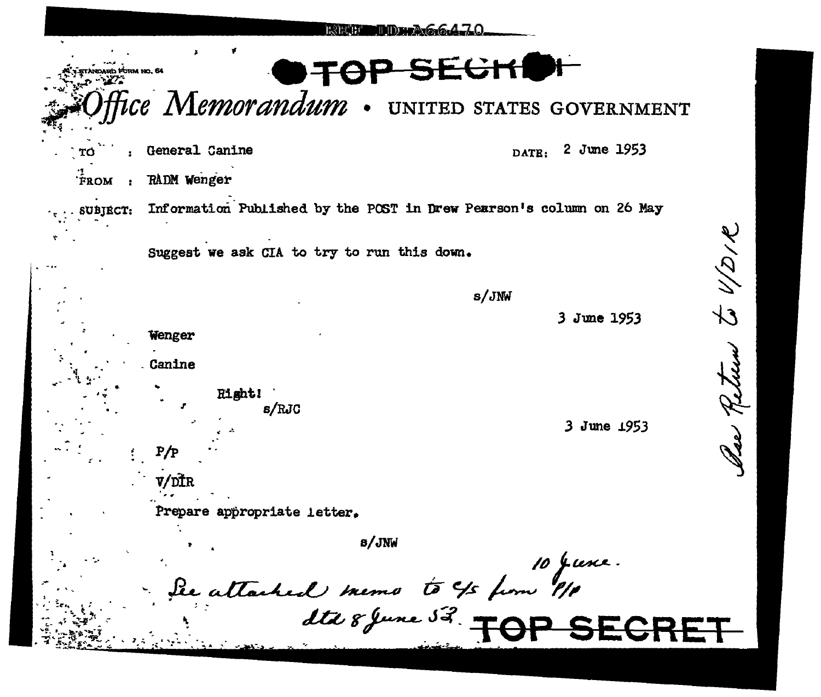| ria Form no. 64                 |                             | SEGRI                                                                |                      |      |
|---------------------------------|-----------------------------|----------------------------------------------------------------------|----------------------|------|
|                                 |                             | Ice Memorandum . UNITED STATES GOVERNMENT                            |                      |      |
|                                 | General Canine              |                                                                      | 2 June 1953<br>DATE: |      |
| $\hat{F}$ ROM<br>$\blacksquare$ | RADM Wenger                 |                                                                      |                      |      |
| <b>SUBJECT:</b>                 |                             | Information Published by the POST in Drew Pearson's column on 26 May |                      |      |
|                                 |                             | Suggest we ask CIA to try to run this down.                          |                      | インタイ |
|                                 |                             |                                                                      | s/JNW                |      |
|                                 | Wenger                      |                                                                      | June 1953<br>3.      |      |
|                                 | Canine                      |                                                                      |                      |      |
|                                 | Hight!<br>s/RJC             |                                                                      |                      |      |
|                                 |                             |                                                                      | 3 June 1953          |      |
|                                 | P/P                         |                                                                      |                      |      |
|                                 | /nfr                        |                                                                      |                      |      |
|                                 | Prepare appropriate letter. |                                                                      |                      |      |
|                                 |                             | <b>B/JNW</b>                                                         |                      |      |
|                                 |                             |                                                                      | 10 June.             |      |
|                                 |                             | le attached memo to 45 ferre 1/1                                     |                      |      |
|                                 |                             |                                                                      |                      |      |